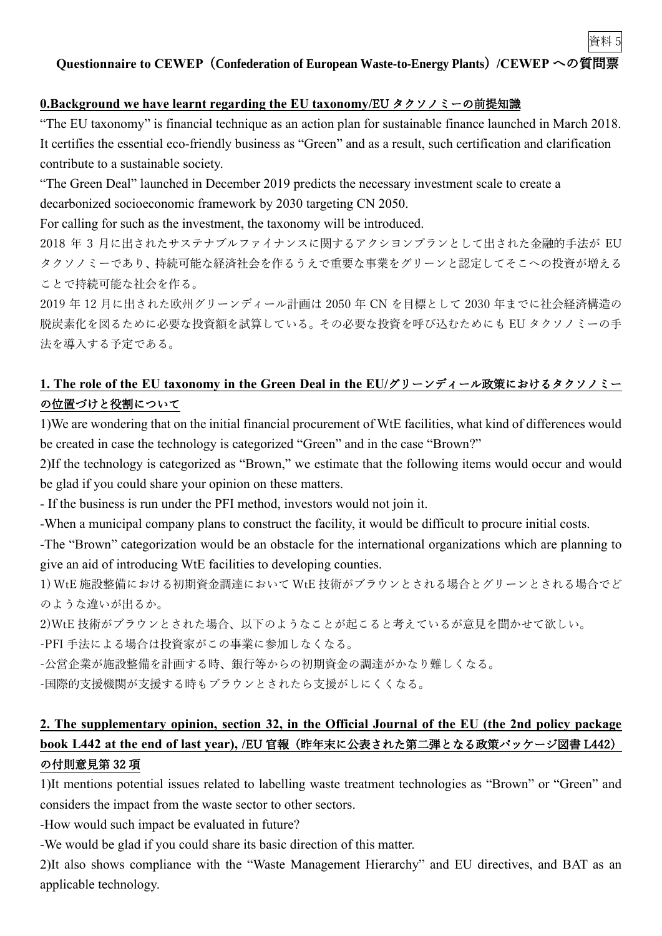資料 5

### **0.Background we have learnt regarding the EU taxonomy/**EU タクソノミーの前提知識

"The EU taxonomy" is financial technique as an action plan for sustainable finance launched in March 2018. It certifies the essential eco-friendly business as "Green" and as a result, such certification and clarification contribute to a sustainable society.

"The Green Deal" launched in December 2019 predicts the necessary investment scale to create a decarbonized socioeconomic framework by 2030 targeting CN 2050.

For calling for such as the investment, the taxonomy will be introduced.

2018 年 3 月に出されたサステナブルファイナンスに関するアクシヨンプランとして出された金融的手法が EU タクソノミーであり、持続可能な経済社会を作るうえで重要な事業をグリーンと認定してそこへの投資が増える ことで持続可能な社会を作る。

2019 年 12 月に出された欧州グリーンディール計画は 2050 年 CN を目標として 2030 年までに社会経済構造の 脱炭素化を図るために必要な投資額を試算している。その必要な投資を呼び込むためにも EU タクソノミーの手 法を導入する予定である。

## **1. The role of the EU taxonomy in the Green Deal in the EU/**グリーンディール政策におけるタクソノミー の位置づけと役割について

1)We are wondering that on the initial financial procurement of WtE facilities, what kind of differences would be created in case the technology is categorized "Green" and in the case "Brown?"

2)If the technology is categorized as "Brown," we estimate that the following items would occur and would be glad if you could share your opinion on these matters.

- If the business is run under the PFI method, investors would not join it.

-When a municipal company plans to construct the facility, it would be difficult to procure initial costs.

-The "Brown" categorization would be an obstacle for the international organizations which are planning to give an aid of introducing WtE facilities to developing counties.

1) WtE 施設整備における初期資金調達において WtE 技術がブラウンとされる場合とグリーンとされる場合でど のような違いが出るか。

2)WtE 技術がブラウンとされた場合、以下のようなことが起こると考えているが意見を聞かせて欲しい。

-PFI 手法による場合は投資家がこの事業に参加しなくなる。

-公営企業が施設整備を計画する時、銀行等からの初期資金の調達がかなり難しくなる。

-国際的支援機関が支援する時もブラウンとされたら支援がしにくくなる。

# **2. The supplementary opinion, section 32, in the Official Journal of the EU (the 2nd policy package book L442 at the end of last year), /**EU 官報(昨年末に公表された第二弾となる政策パッケージ図書 L442) の付則意見第 32 項

1)It mentions potential issues related to labelling waste treatment technologies as "Brown" or "Green" and considers the impact from the waste sector to other sectors.

-How would such impact be evaluated in future?

-We would be glad if you could share its basic direction of this matter.

2)It also shows compliance with the "Waste Management Hierarchy" and EU directives, and BAT as an applicable technology.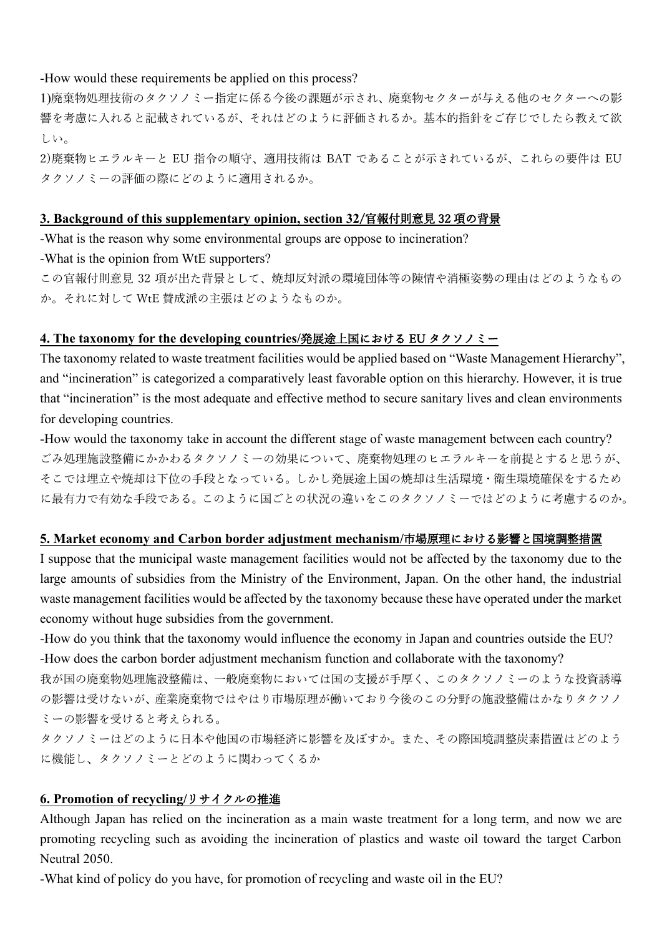### -How would these requirements be applied on this process?

1)廃棄物処理技術のタクソノミー指定に係る今後の課題が示され、廃棄物セクターが与える他のセクターへの影 響を考慮に入れると記載されているが、それはどのように評価されるか。基本的指針をご存じでしたら教えて欲 しい。

2)廃棄物ヒエラルキーと EU 指令の順守、適用技術は BAT であることが示されているが、これらの要件は EU タクソノミーの評価の際にどのように適用されるか。

#### **3. Background of this supplementary opinion, section 32**/官報付則意見 32 項の背景

-What is the reason why some environmental groups are oppose to incineration? -What is the opinion from WtE supporters?

この官報付則意見 32 項が出た背景として、焼却反対派の環境団体等の陳情や消極姿勢の理由はどのようなもの か。それに対して WtE 賛成派の主張はどのようなものか。

### **4. The taxonomy for the developing countries/**発展途上国における EU タクソノミー

The taxonomy related to waste treatment facilities would be applied based on "Waste Management Hierarchy", and "incineration" is categorized a comparatively least favorable option on this hierarchy. However, it is true that "incineration" is the most adequate and effective method to secure sanitary lives and clean environments for developing countries.

-How would the taxonomy take in account the different stage of waste management between each country? ごみ処理施設整備にかかわるタクソノミーの効果について、廃棄物処理のヒエラルキーを前提とすると思うが、 そこでは埋立や焼却は下位の手段となっている。しかし発展途上国の焼却は生活環境・衛生環境確保をするため に最有力で有効な手段である。このように国ごとの状況の違いをこのタクソノミーではどのように考慮するのか。

### **5. Market economy and Carbon border adjustment mechanism/**市場原理における影響と国境調整措置

I suppose that the municipal waste management facilities would not be affected by the taxonomy due to the large amounts of subsidies from the Ministry of the Environment, Japan. On the other hand, the industrial waste management facilities would be affected by the taxonomy because these have operated under the market economy without huge subsidies from the government.

-How do you think that the taxonomy would influence the economy in Japan and countries outside the EU? -How does the carbon border adjustment mechanism function and collaborate with the taxonomy?

我が国の廃棄物処理施設整備は、一般廃棄物においては国の支援が手厚く、このタクソノミーのような投資誘導 の影響は受けないが、産業廃棄物ではやはり市場原理が働いており今後のこの分野の施設整備はかなりタクソノ ミーの影響を受けると考えられる。

タクソノミーはどのように日本や他国の市場経済に影響を及ぼすか。また、その際国境調整炭素措置はどのよう に機能し、タクソノミーとどのように関わってくるか

### **6. Promotion of recycling/**リサイクルの推進

Although Japan has relied on the incineration as a main waste treatment for a long term, and now we are promoting recycling such as avoiding the incineration of plastics and waste oil toward the target Carbon Neutral 2050.

-What kind of policy do you have, for promotion of recycling and waste oil in the EU?